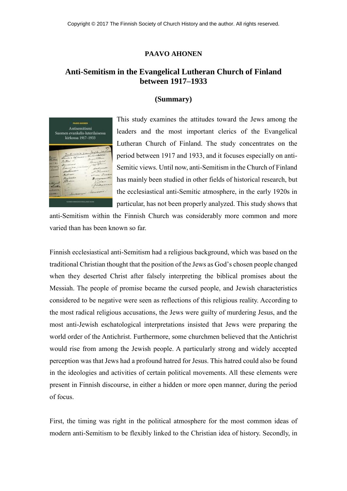## **PAAVO AHONEN**

## **Anti-Semitism in the Evangelical Lutheran Church of Finland between 1917–1933**

## **(Summary)**



This study examines the attitudes toward the Jews among the leaders and the most important clerics of the Evangelical Lutheran Church of Finland. The study concentrates on the period between 1917 and 1933, and it focuses especially on anti-Semitic views. Until now, anti-Semitism in the Church of Finland has mainly been studied in other fields of historical research, but the ecclesiastical anti-Semitic atmosphere, in the early 1920s in particular, has not been properly analyzed. This study shows that

anti-Semitism within the Finnish Church was considerably more common and more varied than has been known so far.

Finnish ecclesiastical anti-Semitism had a religious background, which was based on the traditional Christian thought that the position of the Jews as God's chosen people changed when they deserted Christ after falsely interpreting the biblical promises about the Messiah. The people of promise became the cursed people, and Jewish characteristics considered to be negative were seen as reflections of this religious reality. According to the most radical religious accusations, the Jews were guilty of murdering Jesus, and the most anti-Jewish eschatological interpretations insisted that Jews were preparing the world order of the Antichrist. Furthermore, some churchmen believed that the Antichrist would rise from among the Jewish people. A particularly strong and widely accepted perception was that Jews had a profound hatred for Jesus. This hatred could also be found in the ideologies and activities of certain political movements. All these elements were present in Finnish discourse, in either a hidden or more open manner, during the period of focus.

First, the timing was right in the political atmosphere for the most common ideas of modern anti-Semitism to be flexibly linked to the Christian idea of history. Secondly, in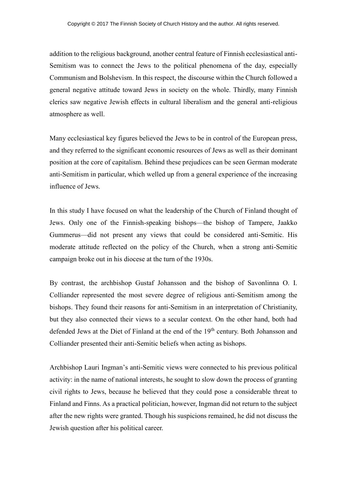addition to the religious background, another central feature of Finnish ecclesiastical anti-Semitism was to connect the Jews to the political phenomena of the day, especially Communism and Bolshevism. In this respect, the discourse within the Church followed a general negative attitude toward Jews in society on the whole. Thirdly, many Finnish clerics saw negative Jewish effects in cultural liberalism and the general anti-religious atmosphere as well.

Many ecclesiastical key figures believed the Jews to be in control of the European press, and they referred to the significant economic resources of Jews as well as their dominant position at the core of capitalism. Behind these prejudices can be seen German moderate anti-Semitism in particular, which welled up from a general experience of the increasing influence of Jews.

In this study I have focused on what the leadership of the Church of Finland thought of Jews. Only one of the Finnish-speaking bishops—the bishop of Tampere, Jaakko Gummerus—did not present any views that could be considered anti-Semitic. His moderate attitude reflected on the policy of the Church, when a strong anti-Semitic campaign broke out in his diocese at the turn of the 1930s.

By contrast, the archbishop Gustaf Johansson and the bishop of Savonlinna O. I. Colliander represented the most severe degree of religious anti-Semitism among the bishops. They found their reasons for anti-Semitism in an interpretation of Christianity, but they also connected their views to a secular context. On the other hand, both had defended Jews at the Diet of Finland at the end of the 19<sup>th</sup> century. Both Johansson and Colliander presented their anti-Semitic beliefs when acting as bishops.

Archbishop Lauri Ingman's anti-Semitic views were connected to his previous political activity: in the name of national interests, he sought to slow down the process of granting civil rights to Jews, because he believed that they could pose a considerable threat to Finland and Finns. As a practical politician, however, Ingman did not return to the subject after the new rights were granted. Though his suspicions remained, he did not discuss the Jewish question after his political career.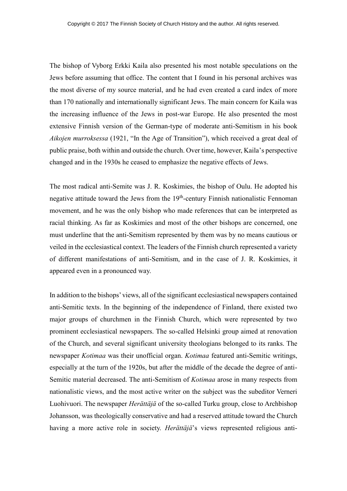The bishop of Vyborg Erkki Kaila also presented his most notable speculations on the Jews before assuming that office. The content that I found in his personal archives was the most diverse of my source material, and he had even created a card index of more than 170 nationally and internationally significant Jews. The main concern for Kaila was the increasing influence of the Jews in post-war Europe. He also presented the most extensive Finnish version of the German-type of moderate anti-Semitism in his book *Aikojen murroksessa* (1921, "In the Age of Transition"), which received a great deal of public praise, both within and outside the church. Over time, however, Kaila's perspective changed and in the 1930s he ceased to emphasize the negative effects of Jews.

The most radical anti-Semite was J. R. Koskimies, the bishop of Oulu. He adopted his negative attitude toward the Jews from the  $19<sup>th</sup>$ -century Finnish nationalistic Fennoman movement, and he was the only bishop who made references that can be interpreted as racial thinking. As far as Koskimies and most of the other bishops are concerned, one must underline that the anti-Semitism represented by them was by no means cautious or veiled in the ecclesiastical context. The leaders of the Finnish church represented a variety of different manifestations of anti-Semitism, and in the case of J. R. Koskimies, it appeared even in a pronounced way.

In addition to the bishops' views, all of the significant ecclesiastical newspapers contained anti-Semitic texts. In the beginning of the independence of Finland, there existed two major groups of churchmen in the Finnish Church, which were represented by two prominent ecclesiastical newspapers. The so-called Helsinki group aimed at renovation of the Church, and several significant university theologians belonged to its ranks. The newspaper *Kotimaa* was their unofficial organ. *Kotimaa* featured anti-Semitic writings, especially at the turn of the 1920s, but after the middle of the decade the degree of anti-Semitic material decreased. The anti-Semitism of *Kotimaa* arose in many respects from nationalistic views, and the most active writer on the subject was the subeditor Verneri Luohivuori. The newspaper *Herättäjä* of the so-called Turku group, close to Archbishop Johansson, was theologically conservative and had a reserved attitude toward the Church having a more active role in society. *Herättäjä*'s views represented religious anti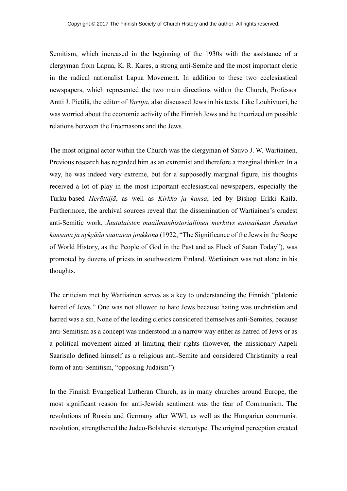Semitism, which increased in the beginning of the 1930s with the assistance of a clergyman from Lapua, K. R. Kares, a strong anti-Semite and the most important cleric in the radical nationalist Lapua Movement. In addition to these two ecclesiastical newspapers, which represented the two main directions within the Church, Professor Antti J. Pietilä, the editor of *Vartija*, also discussed Jews in his texts. Like Louhivuori, he was worried about the economic activity of the Finnish Jews and he theorized on possible relations between the Freemasons and the Jews.

The most original actor within the Church was the clergyman of Sauvo J. W. Wartiainen. Previous research has regarded him as an extremist and therefore a marginal thinker. In a way, he was indeed very extreme, but for a supposedly marginal figure, his thoughts received a lot of play in the most important ecclesiastical newspapers, especially the Turku-based *Herättäjä*, as well as *Kirkko ja kansa*, led by Bishop Erkki Kaila. Furthermore, the archival sources reveal that the dissemination of Wartiainen's crudest anti-Semitic work, *Juutalaisten maailmanhistoriallinen merkitys entisaikaan Jumalan kansana ja nykyään saatanan joukkona* (1922, "The Significance of the Jews in the Scope of World History, as the People of God in the Past and as Flock of Satan Today"), was promoted by dozens of priests in southwestern Finland. Wartiainen was not alone in his thoughts.

The criticism met by Wartiainen serves as a key to understanding the Finnish "platonic hatred of Jews." One was not allowed to hate Jews because hating was unchristian and hatred was a sin. None of the leading clerics considered themselves anti-Semites, because anti-Semitism as a concept was understood in a narrow way either as hatred of Jews or as a political movement aimed at limiting their rights (however, the missionary Aapeli Saarisalo defined himself as a religious anti-Semite and considered Christianity a real form of anti-Semitism, "opposing Judaism").

In the Finnish Evangelical Lutheran Church, as in many churches around Europe, the most significant reason for anti-Jewish sentiment was the fear of Communism. The revolutions of Russia and Germany after WWI, as well as the Hungarian communist revolution, strengthened the Judeo-Bolshevist stereotype. The original perception created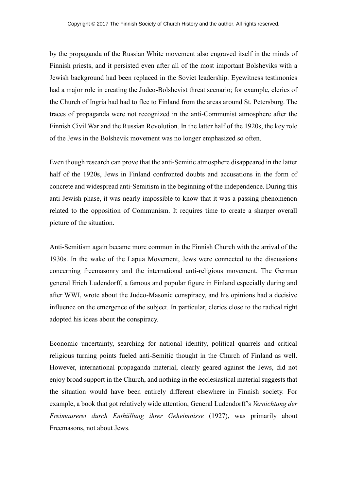by the propaganda of the Russian White movement also engraved itself in the minds of Finnish priests, and it persisted even after all of the most important Bolsheviks with a Jewish background had been replaced in the Soviet leadership. Eyewitness testimonies had a major role in creating the Judeo-Bolshevist threat scenario; for example, clerics of the Church of Ingria had had to flee to Finland from the areas around St. Petersburg. The traces of propaganda were not recognized in the anti-Communist atmosphere after the Finnish Civil War and the Russian Revolution. In the latter half of the 1920s, the key role of the Jews in the Bolshevik movement was no longer emphasized so often.

Even though research can prove that the anti-Semitic atmosphere disappeared in the latter half of the 1920s, Jews in Finland confronted doubts and accusations in the form of concrete and widespread anti-Semitism in the beginning of the independence. During this anti-Jewish phase, it was nearly impossible to know that it was a passing phenomenon related to the opposition of Communism. It requires time to create a sharper overall picture of the situation.

Anti-Semitism again became more common in the Finnish Church with the arrival of the 1930s. In the wake of the Lapua Movement, Jews were connected to the discussions concerning freemasonry and the international anti-religious movement. The German general Erich Ludendorff, a famous and popular figure in Finland especially during and after WWI, wrote about the Judeo-Masonic conspiracy, and his opinions had a decisive influence on the emergence of the subject. In particular, clerics close to the radical right adopted his ideas about the conspiracy.

Economic uncertainty, searching for national identity, political quarrels and critical religious turning points fueled anti-Semitic thought in the Church of Finland as well. However, international propaganda material, clearly geared against the Jews, did not enjoy broad support in the Church, and nothing in the ecclesiastical material suggests that the situation would have been entirely different elsewhere in Finnish society. For example, a book that got relatively wide attention, General Ludendorff's *Vernichtung der Freimaurerei durch Enthüllung ihrer Geheimnisse* (1927), was primarily about Freemasons, not about Jews.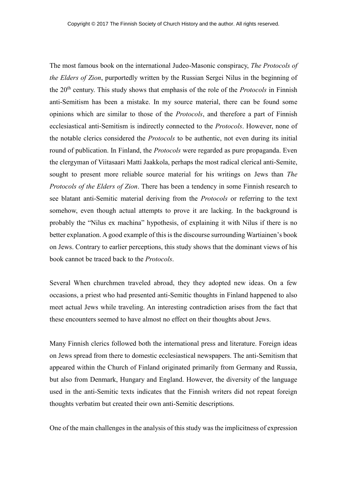The most famous book on the international Judeo-Masonic conspiracy, *The Protocols of the Elders of Zion*, purportedly written by the Russian Sergei Nilus in the beginning of the 20th century. This study shows that emphasis of the role of the *Protocols* in Finnish anti-Semitism has been a mistake. In my source material, there can be found some opinions which are similar to those of the *Protocols*, and therefore a part of Finnish ecclesiastical anti-Semitism is indirectly connected to the *Protocols*. However, none of the notable clerics considered the *Protocols* to be authentic, not even during its initial round of publication. In Finland, the *Protocols* were regarded as pure propaganda. Even the clergyman of Viitasaari Matti Jaakkola, perhaps the most radical clerical anti-Semite, sought to present more reliable source material for his writings on Jews than *The Protocols of the Elders of Zion*. There has been a tendency in some Finnish research to see blatant anti-Semitic material deriving from the *Protocols* or referring to the text somehow, even though actual attempts to prove it are lacking. In the background is probably the "Nilus ex machina" hypothesis, of explaining it with Nilus if there is no better explanation. A good example of this is the discourse surrounding Wartiainen's book on Jews. Contrary to earlier perceptions, this study shows that the dominant views of his book cannot be traced back to the *Protocols*.

Several When churchmen traveled abroad, they they adopted new ideas. On a few occasions, a priest who had presented anti-Semitic thoughts in Finland happened to also meet actual Jews while traveling. An interesting contradiction arises from the fact that these encounters seemed to have almost no effect on their thoughts about Jews.

Many Finnish clerics followed both the international press and literature. Foreign ideas on Jews spread from there to domestic ecclesiastical newspapers. The anti-Semitism that appeared within the Church of Finland originated primarily from Germany and Russia, but also from Denmark, Hungary and England. However, the diversity of the language used in the anti-Semitic texts indicates that the Finnish writers did not repeat foreign thoughts verbatim but created their own anti-Semitic descriptions.

One of the main challenges in the analysis of this study was the implicitness of expression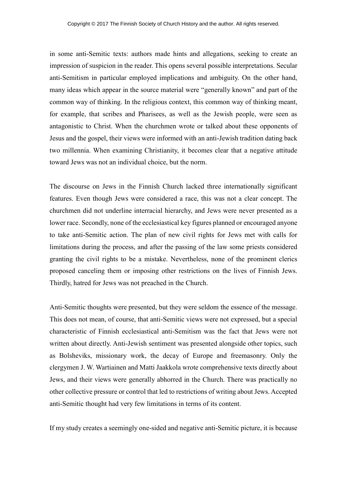in some anti-Semitic texts: authors made hints and allegations, seeking to create an impression of suspicion in the reader. This opens several possible interpretations. Secular anti-Semitism in particular employed implications and ambiguity. On the other hand, many ideas which appear in the source material were "generally known" and part of the common way of thinking. In the religious context, this common way of thinking meant, for example, that scribes and Pharisees, as well as the Jewish people, were seen as antagonistic to Christ. When the churchmen wrote or talked about these opponents of Jesus and the gospel, their views were informed with an anti-Jewish tradition dating back two millennia. When examining Christianity, it becomes clear that a negative attitude toward Jews was not an individual choice, but the norm.

The discourse on Jews in the Finnish Church lacked three internationally significant features. Even though Jews were considered a race, this was not a clear concept. The churchmen did not underline interracial hierarchy, and Jews were never presented as a lower race. Secondly, none of the ecclesiastical key figures planned or encouraged anyone to take anti-Semitic action. The plan of new civil rights for Jews met with calls for limitations during the process, and after the passing of the law some priests considered granting the civil rights to be a mistake. Nevertheless, none of the prominent clerics proposed canceling them or imposing other restrictions on the lives of Finnish Jews. Thirdly, hatred for Jews was not preached in the Church.

Anti-Semitic thoughts were presented, but they were seldom the essence of the message. This does not mean, of course, that anti-Semitic views were not expressed, but a special characteristic of Finnish ecclesiastical anti-Semitism was the fact that Jews were not written about directly. Anti-Jewish sentiment was presented alongside other topics, such as Bolsheviks, missionary work, the decay of Europe and freemasonry. Only the clergymen J. W. Wartiainen and Matti Jaakkola wrote comprehensive texts directly about Jews, and their views were generally abhorred in the Church. There was practically no other collective pressure or control that led to restrictions of writing about Jews. Accepted anti-Semitic thought had very few limitations in terms of its content.

If my study creates a seemingly one-sided and negative anti-Semitic picture, it is because